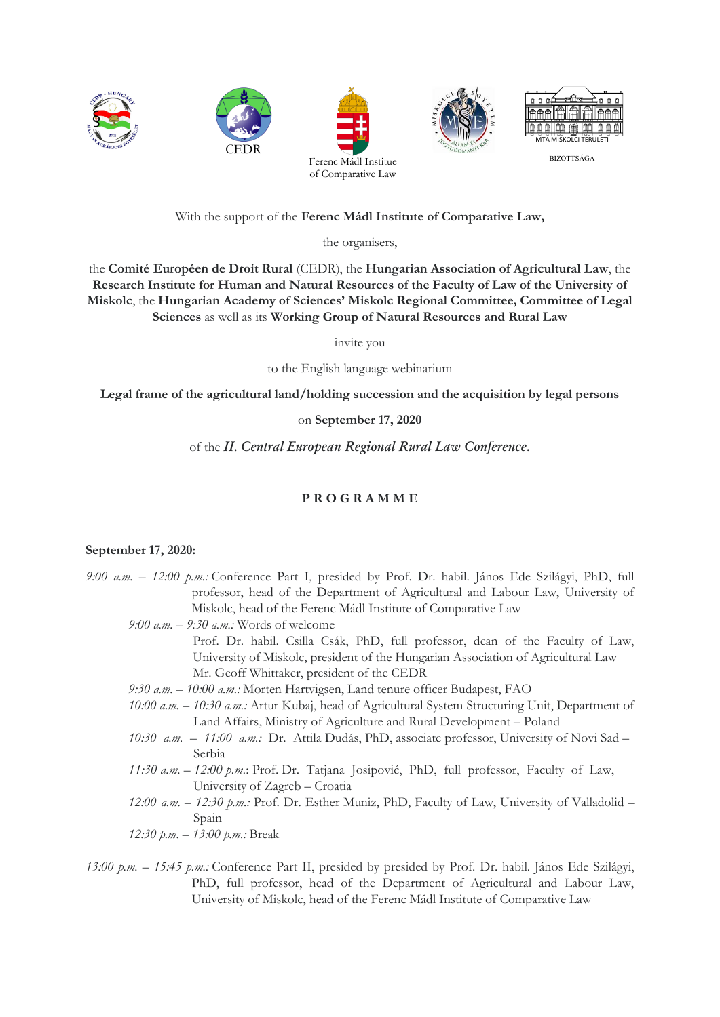

With the support of the **Ferenc Mádl Institute of Comparative Law,**

the organisers,

the **Comité Européen de Droit Rural** (CEDR), the **Hungarian Association of Agricultural Law**, the **Research Institute for Human and Natural Resources of the Faculty of Law of the University of Miskolc**, the **Hungarian Academy of Sciences' Miskolc Regional Committee, Committee of Legal Sciences** as well as its **Working Group of Natural Resources and Rural Law**

invite you

to the English language webinarium

**Legal frame of the agricultural land/holding succession and the acquisition by legal persons**

## on **September 17, 2020**

of the *II. Central European Regional Rural Law Conference***.**

# **P R O G R A M M E**

### **September 17, 2020:**

- *9:00 a.m. – 12:00 p.m.:* Conference Part I, presided by Prof. Dr. habil. János Ede Szilágyi, PhD, full professor, head of the Department of Agricultural and Labour Law, University of Miskolc, head of the Ferenc Mádl Institute of Comparative Law
	- *9:00 a.m. – 9:30 a.m.:* Words of welcome
		- Prof. Dr. habil. Csilla Csák, PhD, full professor, dean of the Faculty of Law, University of Miskolc, president of the Hungarian Association of Agricultural Law Mr. Geoff Whittaker, president of the CEDR
	- *9:30 a.m. – 10:00 a.m.:* Morten Hartvigsen, Land tenure officer Budapest, FAO
	- *10:00 a.m. – 10:30 a.m.:* Artur Kubaj, head of Agricultural System Structuring Unit, Department of Land Affairs, Ministry of Agriculture and Rural Development – Poland
	- *10:30 a.m. – 11:00 a.m.:* Dr. Attila Dudás, PhD, associate professor, University of Novi Sad Serbia
	- *11:30 a.m. 12:00 p.m.*: Prof. Dr. Tatjana Josipović, PhD, full professor, Faculty of Law, University of Zagreb – Croatia
	- *12:00 a.m. – 12:30 p.m.:* Prof. Dr. Esther Muniz, PhD, Faculty of Law, University of Valladolid Spain

*12:30 p.m. – 13:00 p.m.:* Break

*13:00 p.m. – 15:45 p.m.:* Conference Part II, presided by presided by Prof. Dr. habil. János Ede Szilágyi, PhD, full professor, head of the Department of Agricultural and Labour Law, University of Miskolc, head of the Ferenc Mádl Institute of Comparative Law